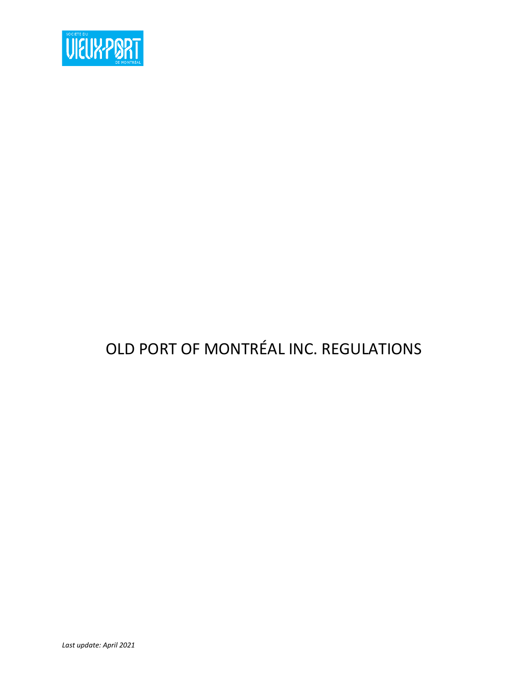

# OLD PORT OF MONTRÉAL INC. REGULATIONS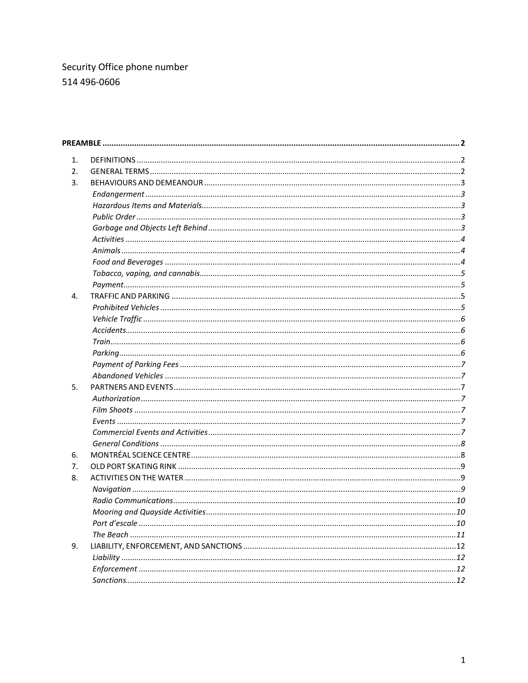# Security Office phone number 514 496-0606

| 1. |  |
|----|--|
| 2. |  |
| 3. |  |
|    |  |
|    |  |
|    |  |
|    |  |
|    |  |
|    |  |
|    |  |
|    |  |
|    |  |
| 4. |  |
|    |  |
|    |  |
|    |  |
|    |  |
|    |  |
|    |  |
|    |  |
| 5. |  |
|    |  |
|    |  |
|    |  |
|    |  |
|    |  |
| 6. |  |
| 7. |  |
| 8. |  |
|    |  |
|    |  |
|    |  |
|    |  |
|    |  |
| 9. |  |
|    |  |
|    |  |
|    |  |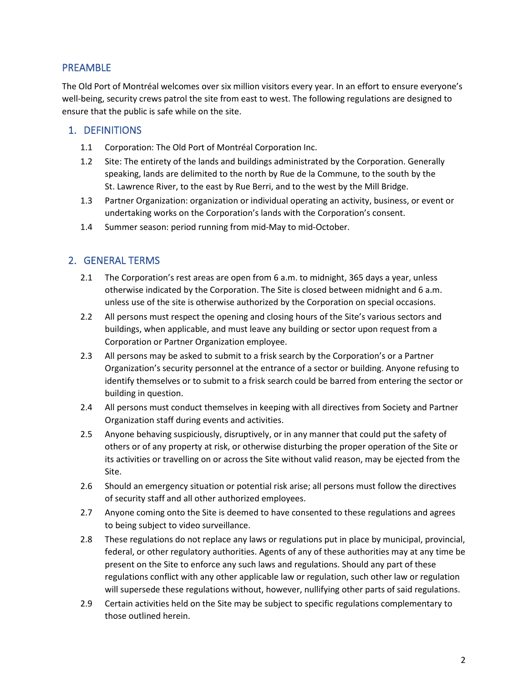# <span id="page-2-0"></span>PREAMBLE

The Old Port of Montréal welcomes over six million visitors every year. In an effort to ensure everyone's well-being, security crews patrol the site from east to west. The following regulations are designed to ensure that the public is safe while on the site.

# <span id="page-2-1"></span>1. DEFINITIONS

- 1.1 Corporation: The Old Port of Montréal Corporation Inc.
- 1.2 Site: The entirety of the lands and buildings administrated by the Corporation. Generally speaking, lands are delimited to the north by Rue de la Commune, to the south by the St. Lawrence River, to the east by Rue Berri, and to the west by the Mill Bridge.
- 1.3 Partner Organization: organization or individual operating an activity, business, or event or undertaking works on the Corporation's lands with the Corporation's consent.
- 1.4 Summer season: period running from mid-May to mid-October.

# <span id="page-2-2"></span>2. GENERAL TERMS

- 2.1 The Corporation's rest areas are open from 6 a.m. to midnight, 365 days a year, unless otherwise indicated by the Corporation. The Site is closed between midnight and 6 a.m. unless use of the site is otherwise authorized by the Corporation on special occasions.
- 2.2 All persons must respect the opening and closing hours of the Site's various sectors and buildings, when applicable, and must leave any building or sector upon request from a Corporation or Partner Organization employee.
- 2.3 All persons may be asked to submit to a frisk search by the Corporation's or a Partner Organization's security personnel at the entrance of a sector or building. Anyone refusing to identify themselves or to submit to a frisk search could be barred from entering the sector or building in question.
- 2.4 All persons must conduct themselves in keeping with all directives from Society and Partner Organization staff during events and activities.
- 2.5 Anyone behaving suspiciously, disruptively, or in any manner that could put the safety of others or of any property at risk, or otherwise disturbing the proper operation of the Site or its activities or travelling on or across the Site without valid reason, may be ejected from the Site.
- 2.6 Should an emergency situation or potential risk arise; all persons must follow the directives of security staff and all other authorized employees.
- 2.7 Anyone coming onto the Site is deemed to have consented to these regulations and agrees to being subject to video surveillance.
- 2.8 These regulations do not replace any laws or regulations put in place by municipal, provincial, federal, or other regulatory authorities. Agents of any of these authorities may at any time be present on the Site to enforce any such laws and regulations. Should any part of these regulations conflict with any other applicable law or regulation, such other law or regulation will supersede these regulations without, however, nullifying other parts of said regulations.
- 2.9 Certain activities held on the Site may be subject to specific regulations complementary to those outlined herein.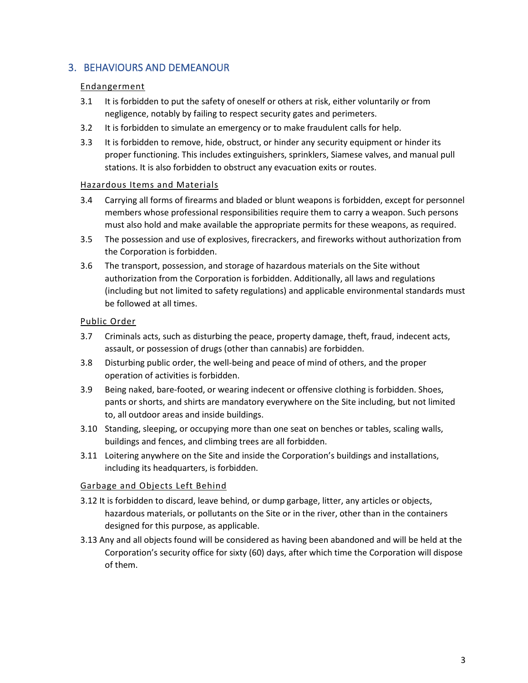# <span id="page-3-1"></span><span id="page-3-0"></span>3. BEHAVIOURS AND DEMEANOUR

# Endangerment

- 3.1 It is forbidden to put the safety of oneself or others at risk, either voluntarily or from negligence, notably by failing to respect security gates and perimeters.
- 3.2 It is forbidden to simulate an emergency or to make fraudulent calls for help.
- 3.3 It is forbidden to remove, hide, obstruct, or hinder any security equipment or hinder its proper functioning. This includes extinguishers, sprinklers, Siamese valves, and manual pull stations. It is also forbidden to obstruct any evacuation exits or routes.

## <span id="page-3-2"></span>Hazardous Items and Materials

- 3.4 Carrying all forms of firearms and bladed or blunt weapons is forbidden, except for personnel members whose professional responsibilities require them to carry a weapon. Such persons must also hold and make available the appropriate permits for these weapons, as required.
- 3.5 The possession and use of explosives, firecrackers, and fireworks without authorization from the Corporation is forbidden.
- 3.6 The transport, possession, and storage of hazardous materials on the Site without authorization from the Corporation is forbidden. Additionally, all laws and regulations (including but not limited to safety regulations) and applicable environmental standards must be followed at all times.

## <span id="page-3-3"></span>Public Order

- 3.7 Criminals acts, such as disturbing the peace, property damage, theft, fraud, indecent acts, assault, or possession of drugs (other than cannabis) are forbidden.
- 3.8 Disturbing public order, the well-being and peace of mind of others, and the proper operation of activities is forbidden.
- 3.9 Being naked, bare-footed, or wearing indecent or offensive clothing is forbidden. Shoes, pants or shorts, and shirts are mandatory everywhere on the Site including, but not limited to, all outdoor areas and inside buildings.
- 3.10 Standing, sleeping, or occupying more than one seat on benches or tables, scaling walls, buildings and fences, and climbing trees are all forbidden.
- 3.11 Loitering anywhere on the Site and inside the Corporation's buildings and installations, including its headquarters, is forbidden.

# <span id="page-3-4"></span>Garbage and Objects Left Behind

- 3.12 It is forbidden to discard, leave behind, or dump garbage, litter, any articles or objects, hazardous materials, or pollutants on the Site or in the river, other than in the containers designed for this purpose, as applicable.
- 3.13 Any and all objects found will be considered as having been abandoned and will be held at the Corporation's security office for sixty (60) days, after which time the Corporation will dispose of them.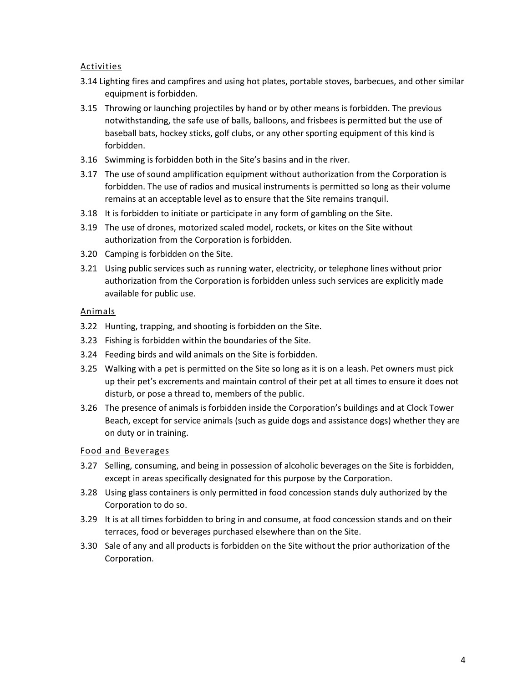## <span id="page-4-0"></span>**Activities**

- 3.14 Lighting fires and campfires and using hot plates, portable stoves, barbecues, and other similar equipment is forbidden.
- 3.15 Throwing or launching projectiles by hand or by other means is forbidden. The previous notwithstanding, the safe use of balls, balloons, and frisbees is permitted but the use of baseball bats, hockey sticks, golf clubs, or any other sporting equipment of this kind is forbidden.
- 3.16 Swimming is forbidden both in the Site's basins and in the river.
- 3.17 The use of sound amplification equipment without authorization from the Corporation is forbidden. The use of radios and musical instruments is permitted so long as their volume remains at an acceptable level as to ensure that the Site remains tranquil.
- 3.18 It is forbidden to initiate or participate in any form of gambling on the Site.
- 3.19 The use of drones, motorized scaled model, rockets, or kites on the Site without authorization from the Corporation is forbidden.
- 3.20 Camping is forbidden on the Site.
- 3.21 Using public services such as running water, electricity, or telephone lines without prior authorization from the Corporation is forbidden unless such services are explicitly made available for public use.

#### <span id="page-4-1"></span>Animals

- 3.22 Hunting, trapping, and shooting is forbidden on the Site.
- 3.23 Fishing is forbidden within the boundaries of the Site.
- 3.24 Feeding birds and wild animals on the Site is forbidden.
- 3.25 Walking with a pet is permitted on the Site so long as it is on a leash. Pet owners must pick up their pet's excrements and maintain control of their pet at all times to ensure it does not disturb, or pose a thread to, members of the public.
- 3.26 The presence of animals is forbidden inside the Corporation's buildings and at Clock Tower Beach, except for service animals (such as guide dogs and assistance dogs) whether they are on duty or in training.

#### <span id="page-4-2"></span>Food and Beverages

- 3.27 Selling, consuming, and being in possession of alcoholic beverages on the Site is forbidden, except in areas specifically designated for this purpose by the Corporation.
- 3.28 Using glass containers is only permitted in food concession stands duly authorized by the Corporation to do so.
- 3.29 It is at all times forbidden to bring in and consume, at food concession stands and on their terraces, food or beverages purchased elsewhere than on the Site.
- 3.30 Sale of any and all products is forbidden on the Site without the prior authorization of the Corporation.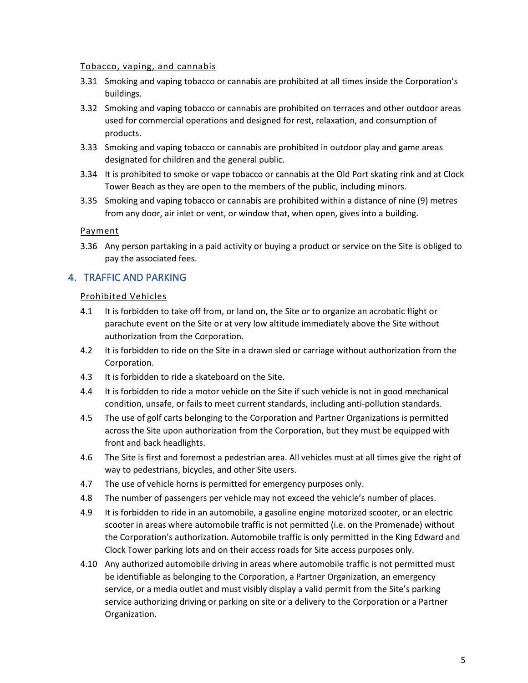#### <span id="page-5-0"></span>Tobacco, vaping, and cannabis

- 3.31 Smoking and vaping tobacco or cannabis are prohibited at all times inside the Corporation's buildings.
- 3.32 Smoking and vaping tobacco or cannabis are prohibited on terraces and other outdoor areas used for commercial operations and designed for rest, relaxation, and consumption of products.
- 3.33 Smoking and vaping tobacco or cannabis are prohibited in outdoor play and game areas designated for children and the general public.
- 3.34 It is prohibited to smoke or vape tobacco or cannabis at the Old Port skating rink and at Clock Tower Beach as they are open to the members of the public, including minors.
- 3.35 Smoking and vaping tobacco or cannabis are prohibited within a distance of nine (9) metres from any door, air inlet or vent, or window that, when open, gives into a building.

#### <span id="page-5-1"></span>Payment

3.36 Any person partaking in a paid activity or buying a product or service on the Site is obliged to pay the associated fees.

# <span id="page-5-3"></span><span id="page-5-2"></span>4. TRAFFIC AND PARKING

#### Prohibited Vehicles

- 4.1 It is forbidden to take off from, or land on, the Site or to organize an acrobatic flight or parachute event on the Site or at very low altitude immediately above the Site without authorization from the Corporation.
- 4.2 It is forbidden to ride on the Site in a drawn sled or carriage without authorization from the Corporation.
- 4.3 It is forbidden to ride a skateboard on the Site.
- 4.4 It is forbidden to ride a motor vehicle on the Site if such vehicle is not in good mechanical condition, unsafe, or fails to meet current standards, including anti-pollution standards.
- 4.5 The use of golf carts belonging to the Corporation and Partner Organizations is permitted across the Site upon authorization from the Corporation, but they must be equipped with front and back headlights.
- 4.6 The Site is first and foremost a pedestrian area. All vehicles must at all times give the right of way to pedestrians, bicycles, and other Site users.
- 4.7 The use of vehicle horns is permitted for emergency purposes only.
- 4.8 The number of passengers per vehicle may not exceed the vehicle's number of places.
- 4.9 It is forbidden to ride in an automobile, a gasoline engine motorized scooter, or an electric scooter in areas where automobile traffic is not permitted (i.e. on the Promenade) without the Corporation's authorization. Automobile traffic is only permitted in the King Edward and Clock Tower parking lots and on their access roads for Site access purposes only.
- 4.10 Any authorized automobile driving in areas where automobile traffic is not permitted must be identifiable as belonging to the Corporation, a Partner Organization, an emergency service, or a media outlet and must visibly display a valid permit from the Site's parking service authorizing driving or parking on site or a delivery to the Corporation or a Partner Organization.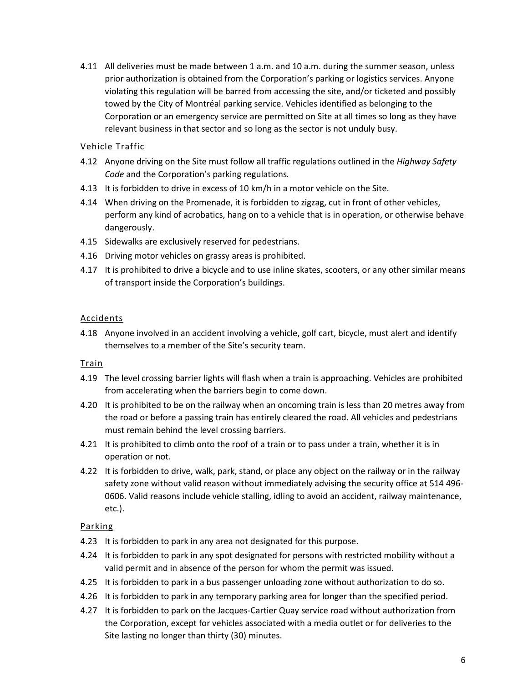4.11 All deliveries must be made between 1 a.m. and 10 a.m. during the summer season, unless prior authorization is obtained from the Corporation's parking or logistics services. Anyone violating this regulation will be barred from accessing the site, and/or ticketed and possibly towed by the City of Montréal parking service. Vehicles identified as belonging to the Corporation or an emergency service are permitted on Site at all times so long as they have relevant business in that sector and so long as the sector is not unduly busy.

# <span id="page-6-0"></span>Vehicle Traffic

- 4.12 Anyone driving on the Site must follow all traffic regulations outlined in the *Highway Safety Code* and the Corporation's parking regulations*.*
- 4.13 It is forbidden to drive in excess of 10 km/h in a motor vehicle on the Site.
- 4.14 When driving on the Promenade, it is forbidden to zigzag, cut in front of other vehicles, perform any kind of acrobatics, hang on to a vehicle that is in operation, or otherwise behave dangerously.
- 4.15 Sidewalks are exclusively reserved for pedestrians.
- 4.16 Driving motor vehicles on grassy areas is prohibited.
- 4.17 It is prohibited to drive a bicycle and to use inline skates, scooters, or any other similar means of transport inside the Corporation's buildings.

# <span id="page-6-1"></span>Accidents

4.18 Anyone involved in an accident involving a vehicle, golf cart, bicycle, must alert and identify themselves to a member of the Site's security team.

#### <span id="page-6-2"></span>Train

- 4.19 The level crossing barrier lights will flash when a train is approaching. Vehicles are prohibited from accelerating when the barriers begin to come down.
- 4.20 It is prohibited to be on the railway when an oncoming train is less than 20 metres away from the road or before a passing train has entirely cleared the road. All vehicles and pedestrians must remain behind the level crossing barriers.
- 4.21 It is prohibited to climb onto the roof of a train or to pass under a train, whether it is in operation or not.
- 4.22 It is forbidden to drive, walk, park, stand, or place any object on the railway or in the railway safety zone without valid reason without immediately advising the security office at 514 496- 0606. Valid reasons include vehicle stalling, idling to avoid an accident, railway maintenance, etc.).

# <span id="page-6-3"></span>Parking

- 4.23 It is forbidden to park in any area not designated for this purpose.
- 4.24 It is forbidden to park in any spot designated for persons with restricted mobility without a valid permit and in absence of the person for whom the permit was issued.
- 4.25 It is forbidden to park in a bus passenger unloading zone without authorization to do so.
- 4.26 It is forbidden to park in any temporary parking area for longer than the specified period.
- 4.27 It is forbidden to park on the Jacques-Cartier Quay service road without authorization from the Corporation, except for vehicles associated with a media outlet or for deliveries to the Site lasting no longer than thirty (30) minutes.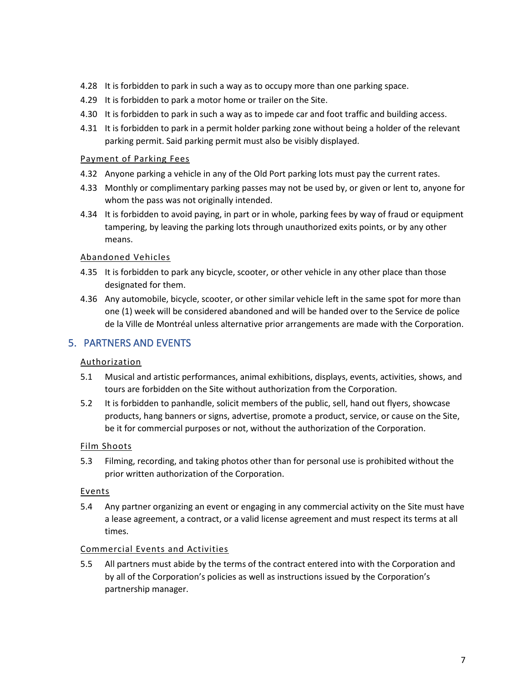- 4.28 It is forbidden to park in such a way as to occupy more than one parking space.
- 4.29 It is forbidden to park a motor home or trailer on the Site.
- 4.30 It is forbidden to park in such a way as to impede car and foot traffic and building access.
- 4.31 It is forbidden to park in a permit holder parking zone without being a holder of the relevant parking permit. Said parking permit must also be visibly displayed.

## <span id="page-7-0"></span>Payment of Parking Fees

- 4.32 Anyone parking a vehicle in any of the Old Port parking lots must pay the current rates.
- 4.33 Monthly or complimentary parking passes may not be used by, or given or lent to, anyone for whom the pass was not originally intended.
- 4.34 It is forbidden to avoid paying, in part or in whole, parking fees by way of fraud or equipment tampering, by leaving the parking lots through unauthorized exits points, or by any other means.

## <span id="page-7-1"></span>Abandoned Vehicles

- 4.35 It is forbidden to park any bicycle, scooter, or other vehicle in any other place than those designated for them.
- 4.36 Any automobile, bicycle, scooter, or other similar vehicle left in the same spot for more than one (1) week will be considered abandoned and will be handed over to the Service de police de la Ville de Montréal unless alternative prior arrangements are made with the Corporation.

# <span id="page-7-3"></span><span id="page-7-2"></span>5. PARTNERS AND EVENTS

# Authorization

- 5.1 Musical and artistic performances, animal exhibitions, displays, events, activities, shows, and tours are forbidden on the Site without authorization from the Corporation.
- 5.2 It is forbidden to panhandle, solicit members of the public, sell, hand out flyers, showcase products, hang banners or signs, advertise, promote a product, service, or cause on the Site, be it for commercial purposes or not, without the authorization of the Corporation.

# <span id="page-7-4"></span>Film Shoots

5.3 Filming, recording, and taking photos other than for personal use is prohibited without the prior written authorization of the Corporation.

# <span id="page-7-5"></span>Events

5.4 Any partner organizing an event or engaging in any commercial activity on the Site must have a lease agreement, a contract, or a valid license agreement and must respect its terms at all times.

#### <span id="page-7-6"></span>Commercial Events and Activities

5.5 All partners must abide by the terms of the contract entered into with the Corporation and by all of the Corporation's policies as well as instructions issued by the Corporation's partnership manager.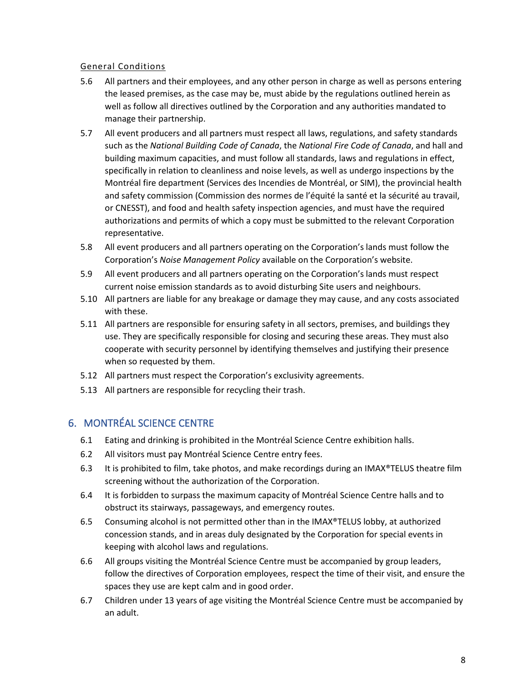# <span id="page-8-0"></span>General Conditions

- 5.6 All partners and their employees, and any other person in charge as well as persons entering the leased premises, as the case may be, must abide by the regulations outlined herein as well as follow all directives outlined by the Corporation and any authorities mandated to manage their partnership.
- 5.7 All event producers and all partners must respect all laws, regulations, and safety standards such as the *National Building Code of Canada*, the *National Fire Code of Canada*, and hall and building maximum capacities, and must follow all standards, laws and regulations in effect, specifically in relation to cleanliness and noise levels, as well as undergo inspections by the Montréal fire department (Services des Incendies de Montréal, or SIM), the provincial health and safety commission (Commission des normes de l'équité la santé et la sécurité au travail, or CNESST), and food and health safety inspection agencies, and must have the required authorizations and permits of which a copy must be submitted to the relevant Corporation representative.
- 5.8 All event producers and all partners operating on the Corporation's lands must follow the Corporation's *Noise Management Policy* available on the Corporation's website.
- 5.9 All event producers and all partners operating on the Corporation's lands must respect current noise emission standards as to avoid disturbing Site users and neighbours.
- 5.10 All partners are liable for any breakage or damage they may cause, and any costs associated with these.
- 5.11 All partners are responsible for ensuring safety in all sectors, premises, and buildings they use. They are specifically responsible for closing and securing these areas. They must also cooperate with security personnel by identifying themselves and justifying their presence when so requested by them.
- 5.12 All partners must respect the Corporation's exclusivity agreements.
- 5.13 All partners are responsible for recycling their trash.

# <span id="page-8-1"></span>6. MONTRÉAL SCIENCE CENTRE

- 6.1 Eating and drinking is prohibited in the Montréal Science Centre exhibition halls.
- 6.2 All visitors must pay Montréal Science Centre entry fees.
- 6.3 It is prohibited to film, take photos, and make recordings during an IMAX®TELUS theatre film screening without the authorization of the Corporation.
- 6.4 It is forbidden to surpass the maximum capacity of Montréal Science Centre halls and to obstruct its stairways, passageways, and emergency routes.
- 6.5 Consuming alcohol is not permitted other than in the IMAX®TELUS lobby, at authorized concession stands, and in areas duly designated by the Corporation for special events in keeping with alcohol laws and regulations.
- 6.6 All groups visiting the Montréal Science Centre must be accompanied by group leaders, follow the directives of Corporation employees, respect the time of their visit, and ensure the spaces they use are kept calm and in good order.
- 6.7 Children under 13 years of age visiting the Montréal Science Centre must be accompanied by an adult.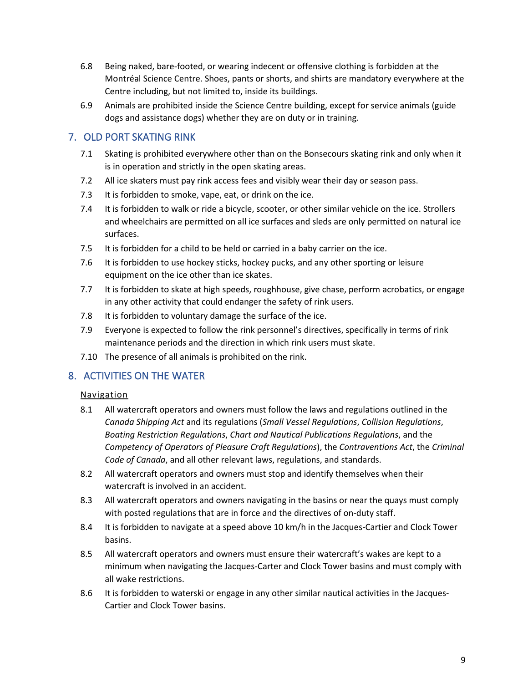- 6.8 Being naked, bare-footed, or wearing indecent or offensive clothing is forbidden at the Montréal Science Centre. Shoes, pants or shorts, and shirts are mandatory everywhere at the Centre including, but not limited to, inside its buildings.
- 6.9 Animals are prohibited inside the Science Centre building, except for service animals (guide dogs and assistance dogs) whether they are on duty or in training.

# <span id="page-9-0"></span>7. OLD PORT SKATING RINK

- 7.1 Skating is prohibited everywhere other than on the Bonsecours skating rink and only when it is in operation and strictly in the open skating areas.
- 7.2 All ice skaters must pay rink access fees and visibly wear their day or season pass.
- 7.3 It is forbidden to smoke, vape, eat, or drink on the ice.
- 7.4 It is forbidden to walk or ride a bicycle, scooter, or other similar vehicle on the ice. Strollers and wheelchairs are permitted on all ice surfaces and sleds are only permitted on natural ice surfaces.
- 7.5 It is forbidden for a child to be held or carried in a baby carrier on the ice.
- 7.6 It is forbidden to use hockey sticks, hockey pucks, and any other sporting or leisure equipment on the ice other than ice skates.
- 7.7 It is forbidden to skate at high speeds, roughhouse, give chase, perform acrobatics, or engage in any other activity that could endanger the safety of rink users.
- 7.8 It is forbidden to voluntary damage the surface of the ice.
- 7.9 Everyone is expected to follow the rink personnel's directives, specifically in terms of rink maintenance periods and the direction in which rink users must skate.
- 7.10 The presence of all animals is prohibited on the rink.

# <span id="page-9-2"></span><span id="page-9-1"></span>8. ACTIVITIES ON THE WATER

# Navigation

- 8.1 All watercraft operators and owners must follow the laws and regulations outlined in the *Canada Shipping Act* and its regulations (*Small Vessel Regulations*, *Collision Regulations*, *Boating Restriction Regulations*, *Chart and Nautical Publications Regulations*, and the *Competency of Operators of Pleasure Craft Regulations*), the *Contraventions Act*, the *Criminal Code of Canada*, and all other relevant laws, regulations, and standards.
- 8.2 All watercraft operators and owners must stop and identify themselves when their watercraft is involved in an accident.
- 8.3 All watercraft operators and owners navigating in the basins or near the quays must comply with posted regulations that are in force and the directives of on-duty staff.
- 8.4 It is forbidden to navigate at a speed above 10 km/h in the Jacques-Cartier and Clock Tower basins.
- 8.5 All watercraft operators and owners must ensure their watercraft's wakes are kept to a minimum when navigating the Jacques-Carter and Clock Tower basins and must comply with all wake restrictions.
- 8.6 It is forbidden to waterski or engage in any other similar nautical activities in the Jacques-Cartier and Clock Tower basins.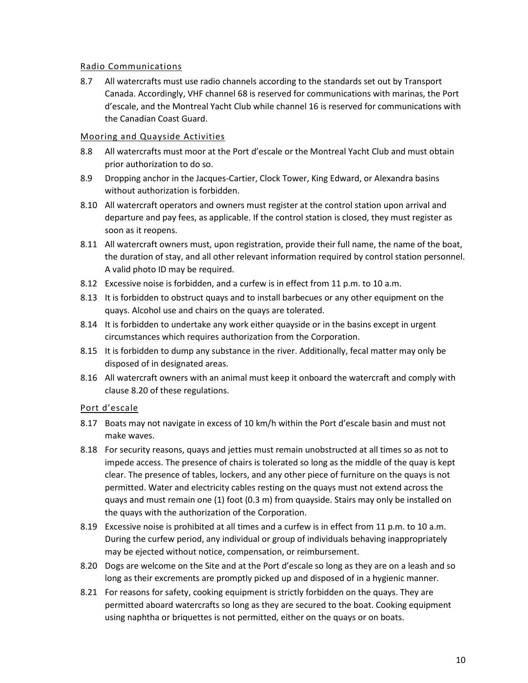## <span id="page-10-0"></span>Radio Communications

8.7 All watercrafts must use radio channels according to the standards set out by Transport Canada. Accordingly, VHF channel 68 is reserved for communications with marinas, the Port d'escale, and the Montreal Yacht Club while channel 16 is reserved for communications with the Canadian Coast Guard.

## <span id="page-10-1"></span>Mooring and Quayside Activities

- 8.8 All watercrafts must moor at the Port d'escale or the Montreal Yacht Club and must obtain prior authorization to do so.
- 8.9 Dropping anchor in the Jacques-Cartier, Clock Tower, King Edward, or Alexandra basins without authorization is forbidden.
- 8.10 All watercraft operators and owners must register at the control station upon arrival and departure and pay fees, as applicable. If the control station is closed, they must register as soon as it reopens.
- 8.11 All watercraft owners must, upon registration, provide their full name, the name of the boat, the duration of stay, and all other relevant information required by control station personnel. A valid photo ID may be required.
- 8.12 Excessive noise is forbidden, and a curfew is in effect from 11 p.m. to 10 a.m.
- 8.13 It is forbidden to obstruct quays and to install barbecues or any other equipment on the quays. Alcohol use and chairs on the quays are tolerated.
- 8.14 It is forbidden to undertake any work either quayside or in the basins except in urgent circumstances which requires authorization from the Corporation.
- 8.15 It is forbidden to dump any substance in the river. Additionally, fecal matter may only be disposed of in designated areas.
- 8.16 All watercraft owners with an animal must keep it onboard the watercraft and comply with clause 8.20 of these regulations.

# <span id="page-10-2"></span>Port d'escale

- 8.17 Boats may not navigate in excess of 10 km/h within the Port d'escale basin and must not make waves.
- 8.18 For security reasons, quays and jetties must remain unobstructed at all times so as not to impede access. The presence of chairs is tolerated so long as the middle of the quay is kept clear. The presence of tables, lockers, and any other piece of furniture on the quays is not permitted. Water and electricity cables resting on the quays must not extend across the quays and must remain one (1) foot (0.3 m) from quayside. Stairs may only be installed on the quays with the authorization of the Corporation.
- 8.19 Excessive noise is prohibited at all times and a curfew is in effect from 11 p.m. to 10 a.m. During the curfew period, any individual or group of individuals behaving inappropriately may be ejected without notice, compensation, or reimbursement.
- 8.20 Dogs are welcome on the Site and at the Port d'escale so long as they are on a leash and so long as their excrements are promptly picked up and disposed of in a hygienic manner.
- 8.21 For reasons for safety, cooking equipment is strictly forbidden on the quays. They are permitted aboard watercrafts so long as they are secured to the boat. Cooking equipment using naphtha or briquettes is not permitted, either on the quays or on boats.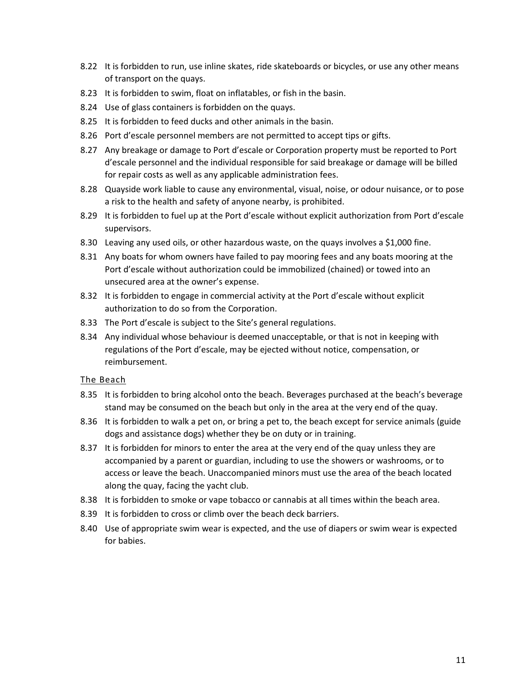- 8.22 It is forbidden to run, use inline skates, ride skateboards or bicycles, or use any other means of transport on the quays.
- 8.23 It is forbidden to swim, float on inflatables, or fish in the basin.
- 8.24 Use of glass containers is forbidden on the quays.
- 8.25 It is forbidden to feed ducks and other animals in the basin.
- 8.26 Port d'escale personnel members are not permitted to accept tips or gifts.
- 8.27 Any breakage or damage to Port d'escale or Corporation property must be reported to Port d'escale personnel and the individual responsible for said breakage or damage will be billed for repair costs as well as any applicable administration fees.
- 8.28 Quayside work liable to cause any environmental, visual, noise, or odour nuisance, or to pose a risk to the health and safety of anyone nearby, is prohibited.
- 8.29 It is forbidden to fuel up at the Port d'escale without explicit authorization from Port d'escale supervisors.
- 8.30 Leaving any used oils, or other hazardous waste, on the quays involves a \$1,000 fine.
- 8.31 Any boats for whom owners have failed to pay mooring fees and any boats mooring at the Port d'escale without authorization could be immobilized (chained) or towed into an unsecured area at the owner's expense.
- 8.32 It is forbidden to engage in commercial activity at the Port d'escale without explicit authorization to do so from the Corporation.
- 8.33 The Port d'escale is subject to the Site's general regulations.
- 8.34 Any individual whose behaviour is deemed unacceptable, or that is not in keeping with regulations of the Port d'escale, may be ejected without notice, compensation, or reimbursement.

#### <span id="page-11-0"></span>The Beach

- 8.35 It is forbidden to bring alcohol onto the beach. Beverages purchased at the beach's beverage stand may be consumed on the beach but only in the area at the very end of the quay.
- 8.36 It is forbidden to walk a pet on, or bring a pet to, the beach except for service animals (guide dogs and assistance dogs) whether they be on duty or in training.
- 8.37 It is forbidden for minors to enter the area at the very end of the quay unless they are accompanied by a parent or guardian, including to use the showers or washrooms, or to access or leave the beach. Unaccompanied minors must use the area of the beach located along the quay, facing the yacht club.
- 8.38 It is forbidden to smoke or vape tobacco or cannabis at all times within the beach area.
- 8.39 It is forbidden to cross or climb over the beach deck barriers.
- 8.40 Use of appropriate swim wear is expected, and the use of diapers or swim wear is expected for babies.